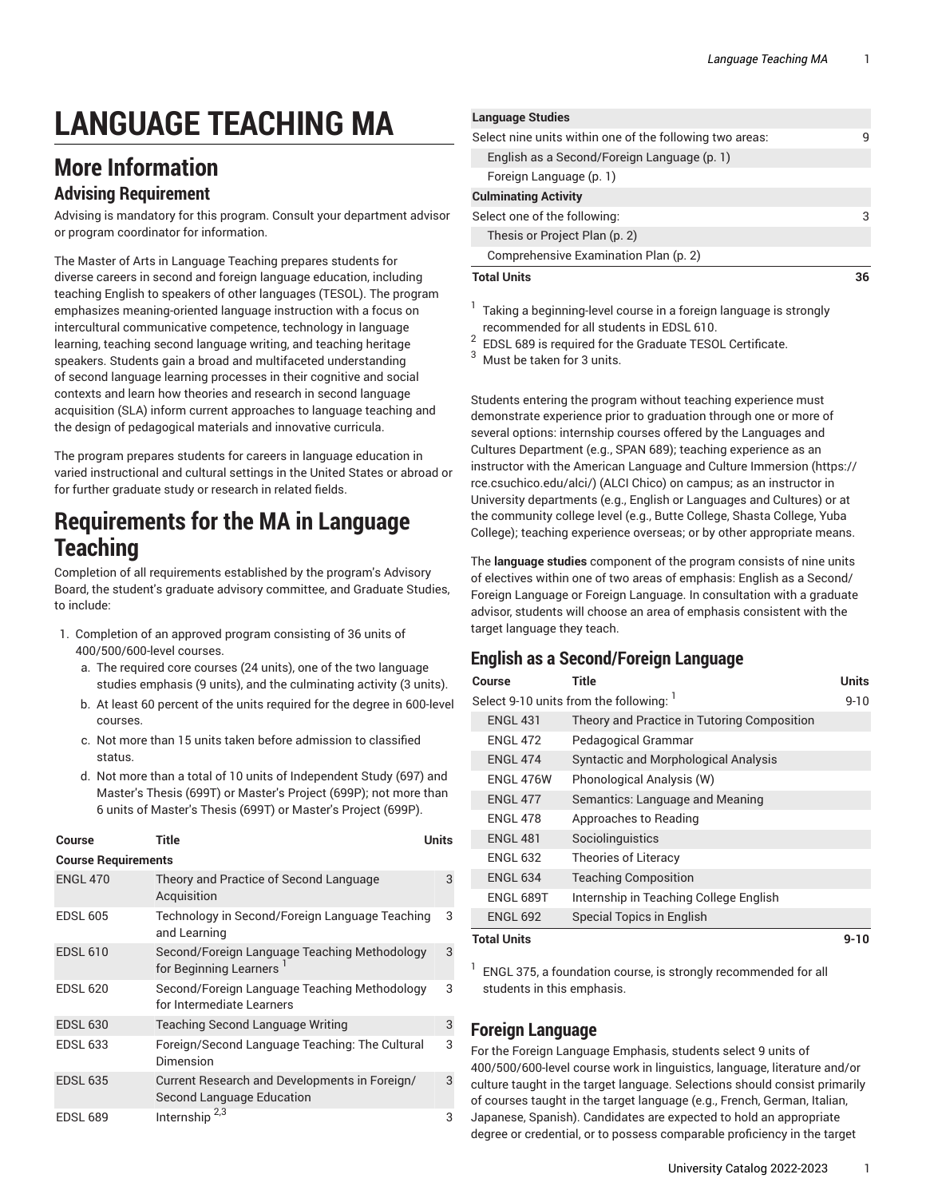# **LANGUAGE TEACHING MA**

# **More Information**

#### **Advising Requirement**

Advising is mandatory for this program. Consult your department advisor or program coordinator for information.

The Master of Arts in Language Teaching prepares students for diverse careers in second and foreign language education, including teaching English to speakers of other languages (TESOL). The program emphasizes meaning-oriented language instruction with a focus on intercultural communicative competence, technology in language learning, teaching second language writing, and teaching heritage speakers. Students gain a broad and multifaceted understanding of second language learning processes in their cognitive and social contexts and learn how theories and research in second language acquisition (SLA) inform current approaches to language teaching and the design of pedagogical materials and innovative curricula.

The program prepares students for careers in language education in varied instructional and cultural settings in the United States or abroad or for further graduate study or research in related fields.

### **Requirements for the MA in Language Teaching**

Completion of all requirements established by the program's Advisory Board, the student's graduate advisory committee, and Graduate Studies, to include:

- 1. Completion of an approved program consisting of 36 units of 400/500/600-level courses.
	- a. The required core courses (24 units), one of the two language studies emphasis (9 units), and the culminating activity (3 units).
	- b. At least 60 percent of the units required for the degree in 600-level courses.
	- c. Not more than 15 units taken before admission to classified status.
	- d. Not more than a total of 10 units of Independent Study (697) and Master's Thesis (699T) or Master's Project (699P); not more than 6 units of Master's Thesis (699T) or Master's Project (699P).

| <b>Course</b>              | Title                                                                      | Units |
|----------------------------|----------------------------------------------------------------------------|-------|
| <b>Course Requirements</b> |                                                                            |       |
| <b>ENGL 470</b>            | Theory and Practice of Second Language<br>Acquisition                      | 3     |
| <b>EDSL 605</b>            | Technology in Second/Foreign Language Teaching<br>and Learning             | 3     |
| <b>EDSL 610</b>            | Second/Foreign Language Teaching Methodology<br>for Beginning Learners     | 3     |
| <b>EDSL 620</b>            | Second/Foreign Language Teaching Methodology<br>for Intermediate Learners  | 3     |
| <b>EDSL 630</b>            | Teaching Second Language Writing                                           | 3     |
| <b>EDSL 633</b>            | Foreign/Second Language Teaching: The Cultural<br>Dimension                | 3     |
| <b>EDSL 635</b>            | Current Research and Developments in Foreign/<br>Second Language Education | 3     |
| <b>EDSL 689</b>            | Internship <sup>2,3</sup>                                                  | 3     |

| <b>Language Studies</b>                                  |    |
|----------------------------------------------------------|----|
| Select nine units within one of the following two areas: | q  |
| English as a Second/Foreign Language (p. 1)              |    |
| Foreign Language (p. 1)                                  |    |
| <b>Culminating Activity</b>                              |    |
| Select one of the following:                             | З  |
| Thesis or Project Plan (p. 2)                            |    |
| Comprehensive Examination Plan (p. 2)                    |    |
| <b>Total Units</b>                                       | 36 |
|                                                          |    |

- 1 Taking a beginning-level course in a foreign language is strongly recommended for all students in EDSL 610.
- 2 EDSL 689 is required for the Graduate TESOL Certificate.
- <sup>3</sup> Must be taken for 3 units.

Students entering the program without teaching experience must demonstrate experience prior to graduation through one or more of several options: internship courses offered by the Languages and Cultures Department (e.g., SPAN 689); teaching experience as an instructor with the American Language and Culture [Immersion \(https://](https://rce.csuchico.edu/alci/) [rce.csuchico.edu/alci/\)](https://rce.csuchico.edu/alci/) (ALCI Chico) on campus; as an instructor in University departments (e.g., English or Languages and Cultures) or at the community college level (e.g., Butte College, Shasta College, Yuba College); teaching experience overseas; or by other appropriate means.

The **language studies** component of the program consists of nine units of electives within one of two areas of emphasis: English as a Second/ Foreign Language or Foreign Language. In consultation with a graduate advisor, students will choose an area of emphasis consistent with the target language they teach.

#### <span id="page-0-0"></span>**English as a Second/Foreign Language**

| <b>Course</b>      | Title                                       | Units    |
|--------------------|---------------------------------------------|----------|
|                    | Select 9-10 units from the following: 1     | $9 - 10$ |
| <b>ENGL 431</b>    | Theory and Practice in Tutoring Composition |          |
| <b>ENGL 472</b>    | Pedagogical Grammar                         |          |
| <b>ENGL 474</b>    | Syntactic and Morphological Analysis        |          |
| ENGL 476W          | Phonological Analysis (W)                   |          |
| <b>ENGL 477</b>    | Semantics: Language and Meaning             |          |
| <b>ENGL 478</b>    | Approaches to Reading                       |          |
| <b>ENGL 481</b>    | Sociolinguistics                            |          |
| <b>ENGL 632</b>    | Theories of Literacy                        |          |
| <b>ENGL 634</b>    | <b>Teaching Composition</b>                 |          |
| ENGL 689T          | Internship in Teaching College English      |          |
| <b>ENGL 692</b>    | Special Topics in English                   |          |
| <b>Total Units</b> |                                             | $9 - 10$ |

1 ENGL 375, a foundation course, is strongly recommended for all students in this emphasis.

#### <span id="page-0-1"></span>**Foreign Language**

For the Foreign Language Emphasis, students select 9 units of 400/500/600-level course work in linguistics, language, literature and/or culture taught in the target language. Selections should consist primarily of courses taught in the target language (e.g., French, German, Italian, Japanese, Spanish). Candidates are expected to hold an appropriate degree or credential, or to possess comparable proficiency in the target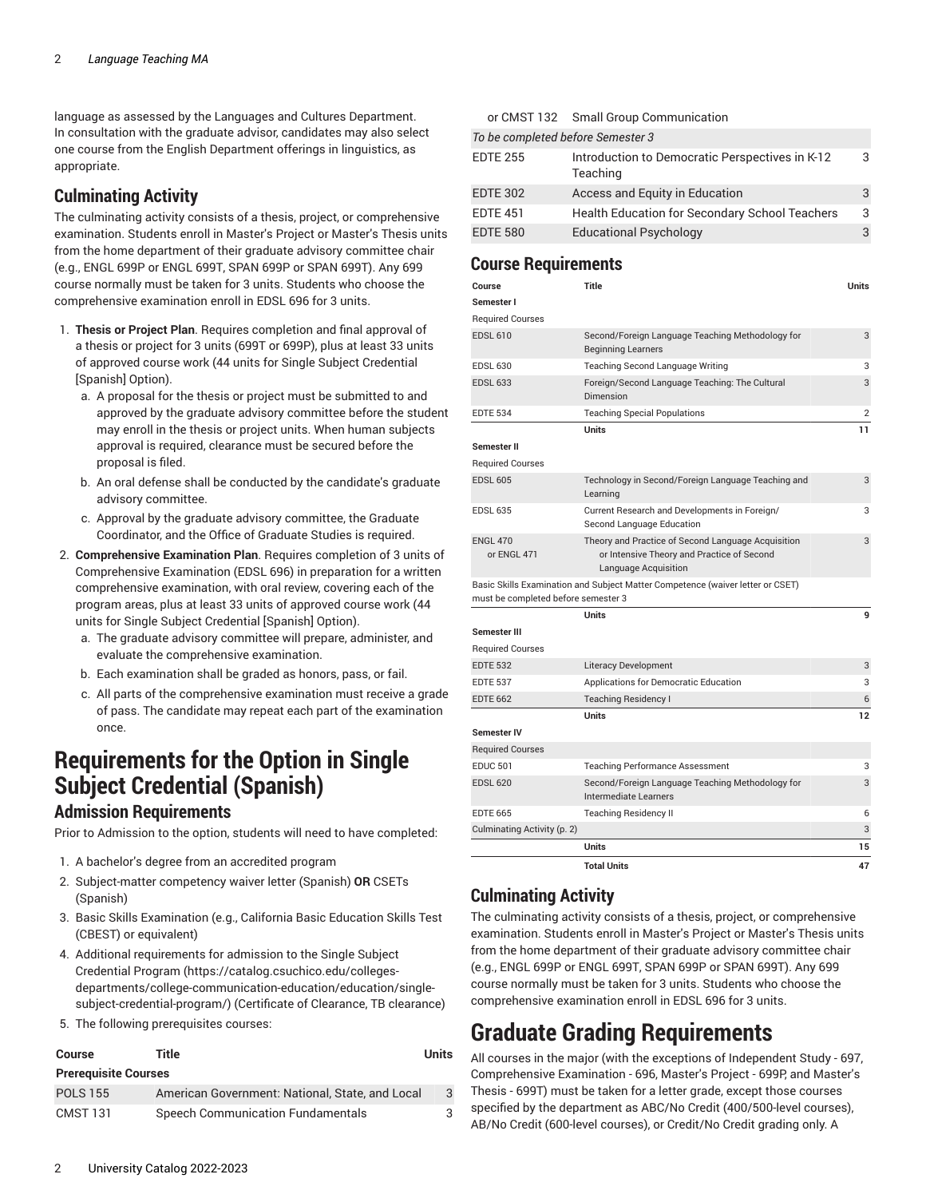language as assessed by the Languages and Cultures Department. In consultation with the graduate advisor, candidates may also select one course from the English Department offerings in linguistics, as appropriate.

#### **Culminating Activity**

The culminating activity consists of a thesis, project, or comprehensive examination. Students enroll in Master's Project or Master's Thesis units from the home department of their graduate advisory committee chair (e.g., ENGL 699P or ENGL 699T, SPAN 699P or SPAN 699T). Any 699 course normally must be taken for 3 units. Students who choose the comprehensive examination enroll in EDSL 696 for 3 units.

- <span id="page-1-0"></span>1. **Thesis or Project Plan**. Requires completion and final approval of a thesis or project for 3 units (699T or 699P), plus at least 33 units of approved course work (44 units for Single Subject Credential [Spanish] Option).
	- a. A proposal for the thesis or project must be submitted to and approved by the graduate advisory committee before the student may enroll in the thesis or project units. When human subjects approval is required, clearance must be secured before the proposal is filed.
	- b. An oral defense shall be conducted by the candidate's graduate advisory committee.
	- c. Approval by the graduate advisory committee, the Graduate Coordinator, and the Office of Graduate Studies is required.
- <span id="page-1-1"></span>2. **Comprehensive Examination Plan**. Requires completion of 3 units of Comprehensive Examination (EDSL 696) in preparation for a written comprehensive examination, with oral review, covering each of the program areas, plus at least 33 units of approved course work (44 units for Single Subject Credential [Spanish] Option).
	- a. The graduate advisory committee will prepare, administer, and evaluate the comprehensive examination.
	- b. Each examination shall be graded as honors, pass, or fail.
	- c. All parts of the comprehensive examination must receive a grade of pass. The candidate may repeat each part of the examination once.

### **Requirements for the Option in Single Subject Credential (Spanish)**

#### **Admission Requirements**

Prior to Admission to the option, students will need to have completed:

- 1. A bachelor's degree from an accredited program
- 2. Subject-matter competency waiver letter (Spanish) **OR** CSETs (Spanish)
- 3. Basic Skills Examination (e.g., California Basic Education Skills Test (CBEST) or equivalent)
- 4. Additional requirements for admission to the [Single Subject](https://catalog.csuchico.edu/colleges-departments/college-communication-education/education/single-subject-credential-program/) [Credential](https://catalog.csuchico.edu/colleges-departments/college-communication-education/education/single-subject-credential-program/) Program [\(https://catalog.csuchico.edu/colleges](https://catalog.csuchico.edu/colleges-departments/college-communication-education/education/single-subject-credential-program/)[departments/college-communication-education/education/single](https://catalog.csuchico.edu/colleges-departments/college-communication-education/education/single-subject-credential-program/)[subject-credential-program/](https://catalog.csuchico.edu/colleges-departments/college-communication-education/education/single-subject-credential-program/)) (Certificate of Clearance, TB clearance)
- 5. The following prerequisites courses:

| Course                      | Title                                           | Units |
|-----------------------------|-------------------------------------------------|-------|
| <b>Prerequisite Courses</b> |                                                 |       |
| <b>POLS 155</b>             | American Government: National, State, and Local | 3     |
| <b>CMST 131</b>             | Speech Communication Fundamentals               |       |

| or CMST 132 Small Group Communication |  |
|---------------------------------------|--|
|---------------------------------------|--|

| To be completed before Semester 3 |                                                             |   |
|-----------------------------------|-------------------------------------------------------------|---|
| <b>EDTE 255</b>                   | Introduction to Democratic Perspectives in K-12<br>Teaching | 3 |
| <b>EDTE 302</b>                   | Access and Equity in Education                              | 3 |
| <b>EDTE 451</b>                   | <b>Health Education for Secondary School Teachers</b>       | 3 |
| <b>EDTE 580</b>                   | <b>Educational Psychology</b>                               |   |

#### **Course Requirements**

| <b>EDTE 537</b><br><b>EDTE 662</b><br><b>Semester IV</b><br><b>Required Courses</b><br><b>EDUC 501</b><br><b>EDSL 620</b><br><b>EDTE 665</b><br>Culminating Activity (p. 2) | <b>Teaching Residency I</b><br>Units<br><b>Teaching Performance Assessment</b><br>Second/Foreign Language Teaching Methodology for<br>Intermediate Learners<br><b>Teaching Residency II</b><br><b>Units</b> | 12<br>3<br>3<br>6<br>3<br>15 |
|-----------------------------------------------------------------------------------------------------------------------------------------------------------------------------|-------------------------------------------------------------------------------------------------------------------------------------------------------------------------------------------------------------|------------------------------|
|                                                                                                                                                                             |                                                                                                                                                                                                             |                              |
|                                                                                                                                                                             |                                                                                                                                                                                                             |                              |
|                                                                                                                                                                             |                                                                                                                                                                                                             |                              |
|                                                                                                                                                                             |                                                                                                                                                                                                             |                              |
|                                                                                                                                                                             |                                                                                                                                                                                                             |                              |
|                                                                                                                                                                             |                                                                                                                                                                                                             |                              |
|                                                                                                                                                                             |                                                                                                                                                                                                             |                              |
|                                                                                                                                                                             |                                                                                                                                                                                                             |                              |
|                                                                                                                                                                             |                                                                                                                                                                                                             | 6                            |
|                                                                                                                                                                             | Applications for Democratic Education                                                                                                                                                                       | 3                            |
| <b>EDTE 532</b>                                                                                                                                                             | Literacy Development                                                                                                                                                                                        | 3                            |
| <b>Required Courses</b>                                                                                                                                                     |                                                                                                                                                                                                             |                              |
| <b>Semester III</b>                                                                                                                                                         |                                                                                                                                                                                                             |                              |
|                                                                                                                                                                             | <b>Units</b>                                                                                                                                                                                                | 9                            |
| must be completed before semester 3                                                                                                                                         | Basic Skills Examination and Subject Matter Competence (waiver letter or CSET)                                                                                                                              |                              |
| or ENGL 471                                                                                                                                                                 | or Intensive Theory and Practice of Second<br>Language Acquisition                                                                                                                                          |                              |
| <b>ENGL 470</b>                                                                                                                                                             | Second Language Education<br>Theory and Practice of Second Language Acquisition                                                                                                                             | 3                            |
| <b>EDSL 635</b>                                                                                                                                                             | Current Research and Developments in Foreign/                                                                                                                                                               | 3                            |
| <b>EDSL 605</b>                                                                                                                                                             | Technology in Second/Foreign Language Teaching and<br>Learning                                                                                                                                              | 3                            |
| <b>Required Courses</b>                                                                                                                                                     |                                                                                                                                                                                                             |                              |
| Semester II                                                                                                                                                                 |                                                                                                                                                                                                             |                              |
|                                                                                                                                                                             | <b>Units</b>                                                                                                                                                                                                | 11                           |
| <b>EDTE 534</b>                                                                                                                                                             | <b>Teaching Special Populations</b>                                                                                                                                                                         | $\overline{2}$               |
| <b>EDSL 633</b>                                                                                                                                                             | Foreign/Second Language Teaching: The Cultural<br>Dimension                                                                                                                                                 | 3                            |
| <b>EDSL 630</b>                                                                                                                                                             | Teaching Second Language Writing                                                                                                                                                                            | 3                            |
|                                                                                                                                                                             | Second/Foreign Language Teaching Methodology for<br><b>Beginning Learners</b>                                                                                                                               | 3                            |
| <b>EDSL 610</b>                                                                                                                                                             |                                                                                                                                                                                                             |                              |
| <b>Required Courses</b>                                                                                                                                                     |                                                                                                                                                                                                             |                              |
| Semester I                                                                                                                                                                  |                                                                                                                                                                                                             | <b>Units</b>                 |

#### <span id="page-1-2"></span>**Culminating Activity**

The culminating activity consists of a thesis, project, or comprehensive examination. Students enroll in Master's Project or Master's Thesis units from the home department of their graduate advisory committee chair (e.g., ENGL 699P or ENGL 699T, SPAN 699P or SPAN 699T). Any 699 course normally must be taken for 3 units. Students who choose the comprehensive examination enroll in EDSL 696 for 3 units.

# **Graduate Grading Requirements**

All courses in the major (with the exceptions of Independent Study - 697, Comprehensive Examination - 696, Master's Project - 699P, and Master's Thesis - 699T) must be taken for a letter grade, except those courses specified by the department as ABC/No Credit (400/500-level courses), AB/No Credit (600-level courses), or Credit/No Credit grading only. A